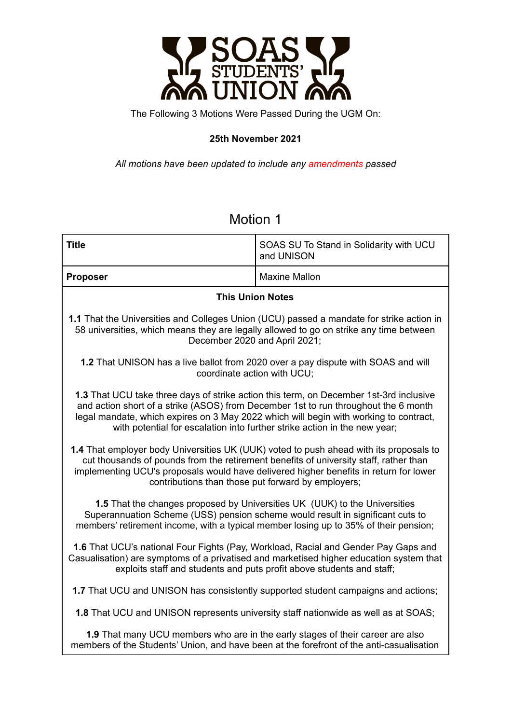

The Following 3 Motions Were Passed During the UGM On:

### **25th November 2021**

*All motions have been updated to include any amendments passed*

## Motion 1

| <b>Title</b>                                                                                                                                                                                                                                                                                                                                        | SOAS SU To Stand in Solidarity with UCU<br>and UNISON |  |
|-----------------------------------------------------------------------------------------------------------------------------------------------------------------------------------------------------------------------------------------------------------------------------------------------------------------------------------------------------|-------------------------------------------------------|--|
| <b>Proposer</b>                                                                                                                                                                                                                                                                                                                                     | <b>Maxine Mallon</b>                                  |  |
| <b>This Union Notes</b>                                                                                                                                                                                                                                                                                                                             |                                                       |  |
| 1.1 That the Universities and Colleges Union (UCU) passed a mandate for strike action in<br>58 universities, which means they are legally allowed to go on strike any time between<br>December 2020 and April 2021;                                                                                                                                 |                                                       |  |
| 1.2 That UNISON has a live ballot from 2020 over a pay dispute with SOAS and will<br>coordinate action with UCU;                                                                                                                                                                                                                                    |                                                       |  |
| 1.3 That UCU take three days of strike action this term, on December 1st-3rd inclusive<br>and action short of a strike (ASOS) from December 1st to run throughout the 6 month<br>legal mandate, which expires on 3 May 2022 which will begin with working to contract,<br>with potential for escalation into further strike action in the new year; |                                                       |  |
| 1.4 That employer body Universities UK (UUK) voted to push ahead with its proposals to<br>cut thousands of pounds from the retirement benefits of university staff, rather than<br>implementing UCU's proposals would have delivered higher benefits in return for lower<br>contributions than those put forward by employers;                      |                                                       |  |
| 1.5 That the changes proposed by Universities UK (UUK) to the Universities<br>Superannuation Scheme (USS) pension scheme would result in significant cuts to<br>members' retirement income, with a typical member losing up to 35% of their pension;                                                                                                |                                                       |  |
| 1.6 That UCU's national Four Fights (Pay, Workload, Racial and Gender Pay Gaps and<br>Casualisation) are symptoms of a privatised and marketised higher education system that<br>exploits staff and students and puts profit above students and staff;                                                                                              |                                                       |  |
| 1.7 That UCU and UNISON has consistently supported student campaigns and actions;                                                                                                                                                                                                                                                                   |                                                       |  |
| <b>1.8</b> That UCU and UNISON represents university staff nationwide as well as at SOAS;                                                                                                                                                                                                                                                           |                                                       |  |
| 1.9 That many UCU members who are in the early stages of their career are also<br>members of the Students' Union, and have been at the forefront of the anti-casualisation                                                                                                                                                                          |                                                       |  |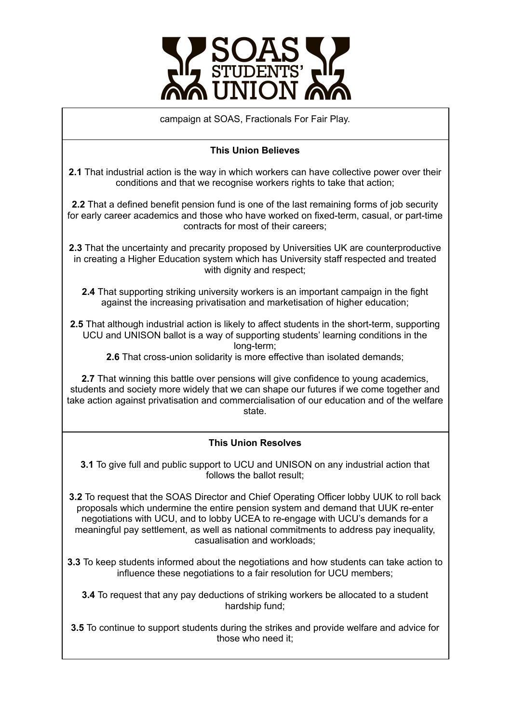

campaign at SOAS, Fractionals For Fair Play.

### **This Union Believes**

**2.1** That industrial action is the way in which workers can have collective power over their conditions and that we recognise workers rights to take that action;

**2.2** That a defined benefit pension fund is one of the last remaining forms of job security for early career academics and those who have worked on fixed-term, casual, or part-time contracts for most of their careers;

**2.3** That the uncertainty and precarity proposed by Universities UK are counterproductive in creating a Higher Education system which has University staff respected and treated with dignity and respect:

**2.4** That supporting striking university workers is an important campaign in the fight against the increasing privatisation and marketisation of higher education;

**2.5** That although industrial action is likely to affect students in the short-term, supporting UCU and UNISON ballot is a way of supporting students' learning conditions in the long-term;

**2.6** That cross-union solidarity is more effective than isolated demands;

**2.7** That winning this battle over pensions will give confidence to young academics, students and society more widely that we can shape our futures if we come together and take action against privatisation and commercialisation of our education and of the welfare state.

### **This Union Resolves**

**3.1** To give full and public support to UCU and UNISON on any industrial action that follows the ballot result;

**3.2** To request that the SOAS Director and Chief Operating Officer lobby UUK to roll back proposals which undermine the entire pension system and demand that UUK re-enter negotiations with UCU, and to lobby UCEA to re-engage with UCU's demands for a meaningful pay settlement, as well as national commitments to address pay inequality, casualisation and workloads;

**3.3** To keep students informed about the negotiations and how students can take action to influence these negotiations to a fair resolution for UCU members;

**3.4** To request that any pay deductions of striking workers be allocated to a student hardship fund;

**3.5** To continue to support students during the strikes and provide welfare and advice for those who need it;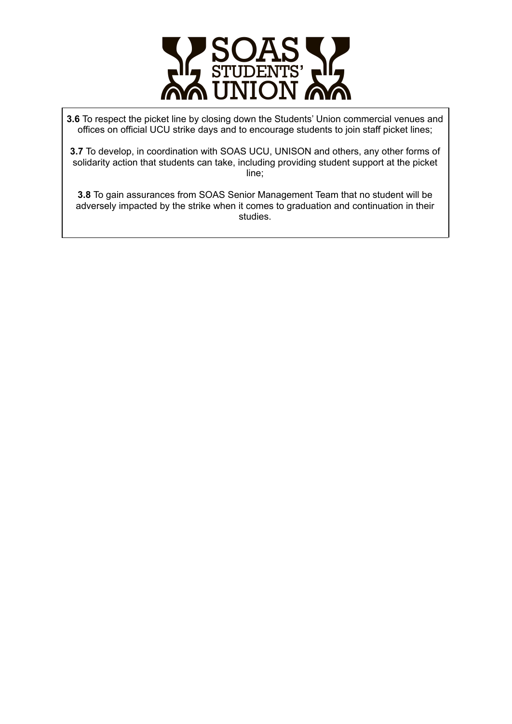

**3.6** To respect the picket line by closing down the Students' Union commercial venues and offices on official UCU strike days and to encourage students to join staff picket lines;

**3.7** To develop, in coordination with SOAS UCU, UNISON and others, any other forms of solidarity action that students can take, including providing student support at the picket line;

**3.8** To gain assurances from SOAS Senior Management Team that no student will be adversely impacted by the strike when it comes to graduation and continuation in their studies.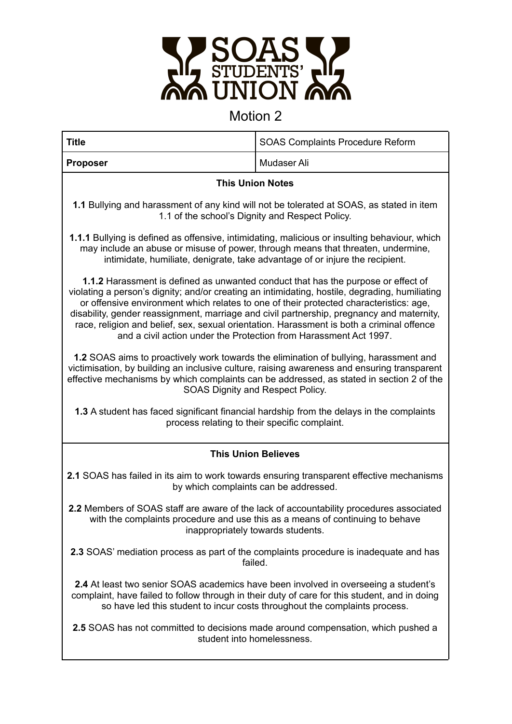

# Motion 2

| <b>Title</b>                                                                                                                                                                                                                                                                                                                                                                                                                                                                                                                                        | <b>SOAS Complaints Procedure Reform</b> |  |
|-----------------------------------------------------------------------------------------------------------------------------------------------------------------------------------------------------------------------------------------------------------------------------------------------------------------------------------------------------------------------------------------------------------------------------------------------------------------------------------------------------------------------------------------------------|-----------------------------------------|--|
| <b>Proposer</b>                                                                                                                                                                                                                                                                                                                                                                                                                                                                                                                                     | Mudaser Ali                             |  |
| <b>This Union Notes</b>                                                                                                                                                                                                                                                                                                                                                                                                                                                                                                                             |                                         |  |
| 1.1 Bullying and harassment of any kind will not be tolerated at SOAS, as stated in item<br>1.1 of the school's Dignity and Respect Policy.                                                                                                                                                                                                                                                                                                                                                                                                         |                                         |  |
| <b>1.1.1</b> Bullying is defined as offensive, intimidating, malicious or insulting behaviour, which<br>may include an abuse or misuse of power, through means that threaten, undermine,<br>intimidate, humiliate, denigrate, take advantage of or injure the recipient.                                                                                                                                                                                                                                                                            |                                         |  |
| <b>1.1.2</b> Harassment is defined as unwanted conduct that has the purpose or effect of<br>violating a person's dignity; and/or creating an intimidating, hostile, degrading, humiliating<br>or offensive environment which relates to one of their protected characteristics: age,<br>disability, gender reassignment, marriage and civil partnership, pregnancy and maternity,<br>race, religion and belief, sex, sexual orientation. Harassment is both a criminal offence<br>and a civil action under the Protection from Harassment Act 1997. |                                         |  |
| 1.2 SOAS aims to proactively work towards the elimination of bullying, harassment and<br>victimisation, by building an inclusive culture, raising awareness and ensuring transparent<br>effective mechanisms by which complaints can be addressed, as stated in section 2 of the<br>SOAS Dignity and Respect Policy.                                                                                                                                                                                                                                |                                         |  |
| 1.3 A student has faced significant financial hardship from the delays in the complaints<br>process relating to their specific complaint.                                                                                                                                                                                                                                                                                                                                                                                                           |                                         |  |
| <b>This Union Believes</b>                                                                                                                                                                                                                                                                                                                                                                                                                                                                                                                          |                                         |  |
| 2.1 SOAS has failed in its aim to work towards ensuring transparent effective mechanisms<br>by which complaints can be addressed.                                                                                                                                                                                                                                                                                                                                                                                                                   |                                         |  |
| 2.2 Members of SOAS staff are aware of the lack of accountability procedures associated<br>with the complaints procedure and use this as a means of continuing to behave<br>inappropriately towards students.                                                                                                                                                                                                                                                                                                                                       |                                         |  |
| 2.3 SOAS' mediation process as part of the complaints procedure is inadequate and has<br>failed.                                                                                                                                                                                                                                                                                                                                                                                                                                                    |                                         |  |
| 2.4 At least two senior SOAS academics have been involved in overseeing a student's<br>complaint, have failed to follow through in their duty of care for this student, and in doing<br>so have led this student to incur costs throughout the complaints process.                                                                                                                                                                                                                                                                                  |                                         |  |
| 2.5 SOAS has not committed to decisions made around compensation, which pushed a<br>student into homelessness.                                                                                                                                                                                                                                                                                                                                                                                                                                      |                                         |  |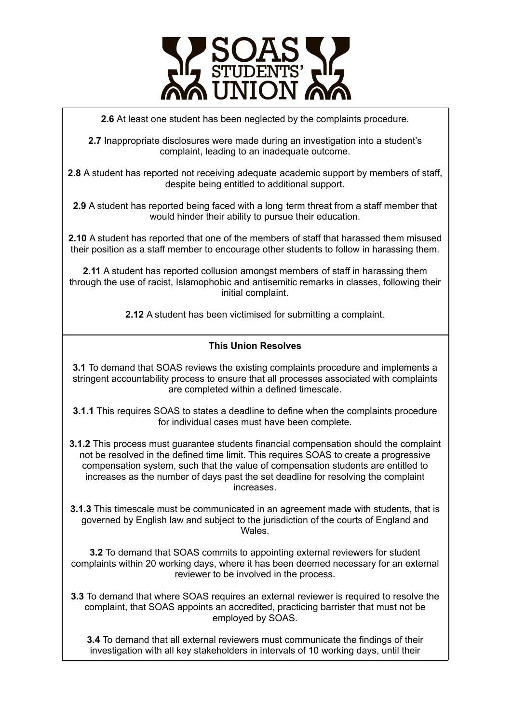

**2.6** At least one student has been neglected by the complaints procedure.

**2.7** Inappropriate disclosures were made during an investigation into a student's complaint, leading to an inadequate outcome.

**2.8** A student has reported not receiving adequate academic support by members of staff, despite being entitled to additional support.

**2.9** A student has reported being faced with a long term threat from a staff member that would hinder their ability to pursue their education.

**2.10** A student has reported that one of the members of staff that harassed them misused their position as a staff member to encourage other students to follow in harassing them.

**2.11** A student has reported collusion amongst members of staff in harassing them through the use of racist, Islamophobic and antisemitic remarks in classes, following their initial complaint.

**2.12** A student has been victimised for submitting a complaint.

#### **This Union Resolves**

**3.1** To demand that SOAS reviews the existing complaints procedure and implements a stringent accountability process to ensure that all processes associated with complaints are completed within a defined timescale.

**3.1.1** This requires SOAS to states a deadline to define when the complaints procedure for individual cases must have been complete.

**3.1.2** This process must guarantee students financial compensation should the complaint not be resolved in the defined time limit. This requires SOAS to create a progressive compensation system, such that the value of compensation students are entitled to increases as the number of days past the set deadline for resolving the complaint increases.

**3.1.3** This timescale must be communicated in an agreement made with students, that is governed by English law and subject to the jurisdiction of the courts of England and Wales.

**3.2** To demand that SOAS commits to appointing external reviewers for student complaints within 20 working days, where it has been deemed necessary for an external reviewer to be involved in the process.

**3.3** To demand that where SOAS requires an external reviewer is required to resolve the complaint, that SOAS appoints an accredited, practicing barrister that must not be employed by SOAS.

**3.4** To demand that all external reviewers must communicate the findings of their investigation with all key stakeholders in intervals of 10 working days, until their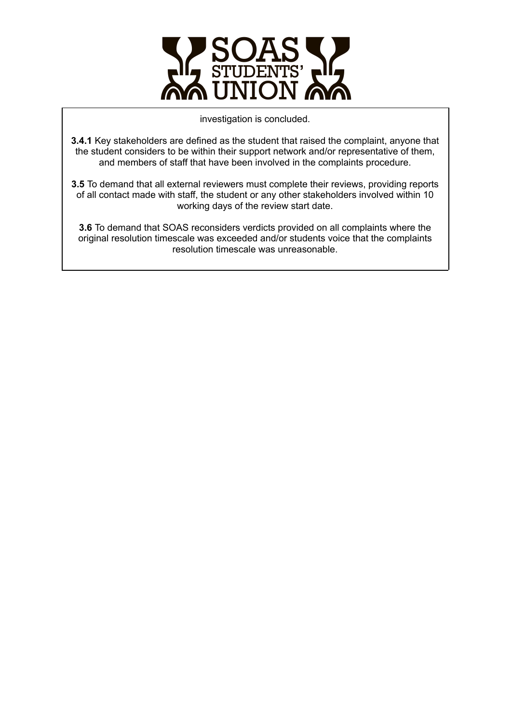

investigation is concluded.

**3.4.1** Key stakeholders are defined as the student that raised the complaint, anyone that the student considers to be within their support network and/or representative of them, and members of staff that have been involved in the complaints procedure.

**3.5** To demand that all external reviewers must complete their reviews, providing reports of all contact made with staff, the student or any other stakeholders involved within 10 working days of the review start date.

**3.6** To demand that SOAS reconsiders verdicts provided on all complaints where the original resolution timescale was exceeded and/or students voice that the complaints resolution timescale was unreasonable.